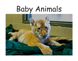# Baby Animals

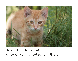

Here is a baby cat. A baby cat is called a kitten.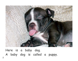

Here is a baby dog. A baby dog is called a puppy.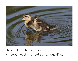

Here is a baby duck. A baby duck is called a duckling.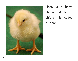

Here is a baby chicken. A baby chicken is called a chick.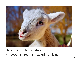

Here is a baby sheep. A baby sheep is called a lamb.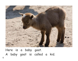

Here is a baby goat. A baby goat is called a kid.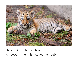

Here is a baby tiger. A baby tiger is called a cub.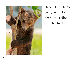

Here is a baby bear. A baby bear is called a cub too!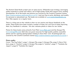The Mustard Seed Books project uses an open-source, Wikipedia-type strategy, leveraging public expertise to create and refine a set of high-quality books that support early reading development. All of the books and pictures are covered by the Creative Commons License (http://creativecommons.org/licenses/by-nc-sa/3.0/ ) and are free to print, distribute, and modify for personal or educational use. The books are available at www.mustardseedbooks.org. New titles appear on a regular basis.

There is a blog post on the website so that we can receive and discuss feedback on the books. These books have been revised a number of times, but we'd love to keep improving them. Any feedback is welcome. We also welcome photos or ideas for new books.

Photos for these books come primarily from Flickr (www.flickr.com) and the Morgue File (www.morguefile.com). Both sites are great resources for high-quality publicly accessible photos and for aspiring photographers looking to share their work. All photographs are covered by the Creative Commons License (http://creativecommons.org/licenses/by-nc-sa/3.0/ ).

#### **Photo credits:**

Cover: "The Pug Father"; page 1: Morgue File; page 2: Morgue File; page 3: Steve Welburn; page 4: "mtsofan"; page 5: Morgue File; page 6: "mtsofan"; page 7: "Tambako the Jaguar"; page 8: "Tambako the Jaguar"